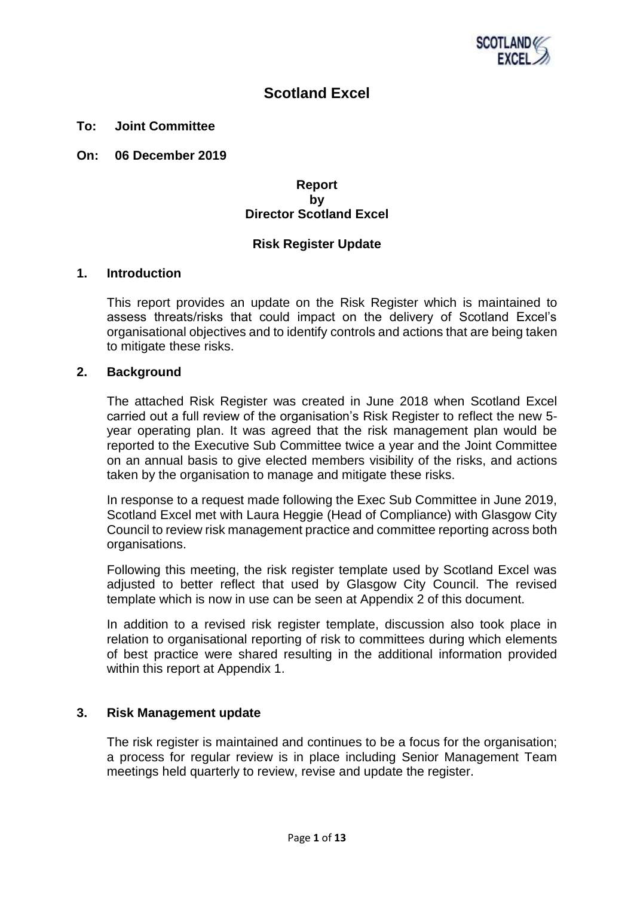

# **Scotland Excel**

#### **To: Joint Committee**

**On: 06 December 2019** 

## **Report by Director Scotland Excel**

## **Risk Register Update**

#### **1. Introduction**

This report provides an update on the Risk Register which is maintained to assess threats/risks that could impact on the delivery of Scotland Excel's organisational objectives and to identify controls and actions that are being taken to mitigate these risks.

#### **2. Background**

The attached Risk Register was created in June 2018 when Scotland Excel carried out a full review of the organisation's Risk Register to reflect the new 5 year operating plan. It was agreed that the risk management plan would be reported to the Executive Sub Committee twice a year and the Joint Committee on an annual basis to give elected members visibility of the risks, and actions taken by the organisation to manage and mitigate these risks.

In response to a request made following the Exec Sub Committee in June 2019, Scotland Excel met with Laura Heggie (Head of Compliance) with Glasgow City Council to review risk management practice and committee reporting across both organisations.

Following this meeting, the risk register template used by Scotland Excel was adjusted to better reflect that used by Glasgow City Council. The revised template which is now in use can be seen at Appendix 2 of this document.

In addition to a revised risk register template, discussion also took place in relation to organisational reporting of risk to committees during which elements of best practice were shared resulting in the additional information provided within this report at Appendix 1.

## **3. Risk Management update**

The risk register is maintained and continues to be a focus for the organisation; a process for regular review is in place including Senior Management Team meetings held quarterly to review, revise and update the register.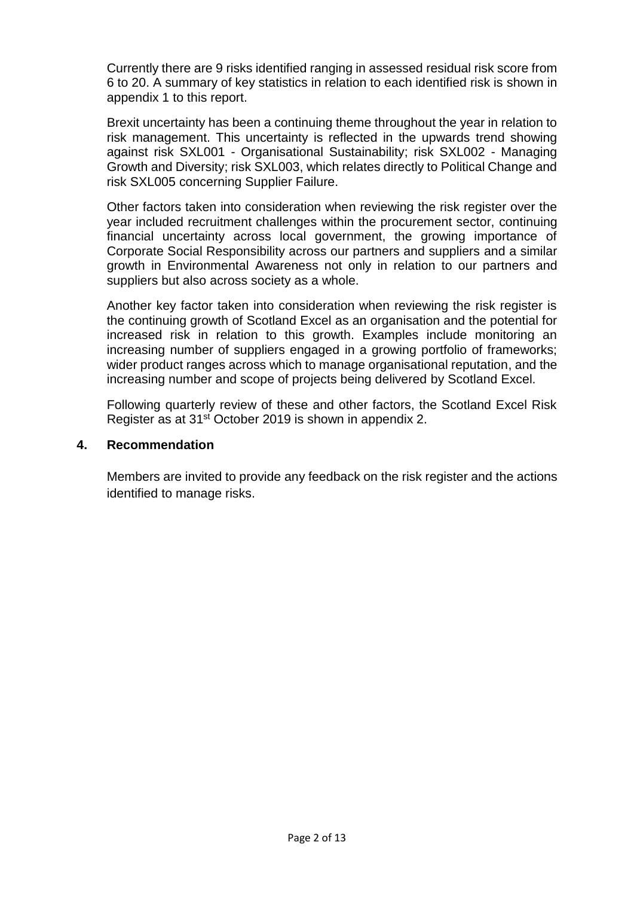Currently there are 9 risks identified ranging in assessed residual risk score from 6 to 20. A summary of key statistics in relation to each identified risk is shown in appendix 1 to this report.

Brexit uncertainty has been a continuing theme throughout the year in relation to risk management. This uncertainty is reflected in the upwards trend showing against risk SXL001 - Organisational Sustainability; risk SXL002 - Managing Growth and Diversity; risk SXL003, which relates directly to Political Change and risk SXL005 concerning Supplier Failure.

Other factors taken into consideration when reviewing the risk register over the year included recruitment challenges within the procurement sector, continuing financial uncertainty across local government, the growing importance of Corporate Social Responsibility across our partners and suppliers and a similar growth in Environmental Awareness not only in relation to our partners and suppliers but also across society as a whole.

Another key factor taken into consideration when reviewing the risk register is the continuing growth of Scotland Excel as an organisation and the potential for increased risk in relation to this growth. Examples include monitoring an increasing number of suppliers engaged in a growing portfolio of frameworks; wider product ranges across which to manage organisational reputation, and the increasing number and scope of projects being delivered by Scotland Excel.

Following quarterly review of these and other factors, the Scotland Excel Risk Register as at 31st October 2019 is shown in appendix 2.

# **4. Recommendation**

Members are invited to provide any feedback on the risk register and the actions identified to manage risks.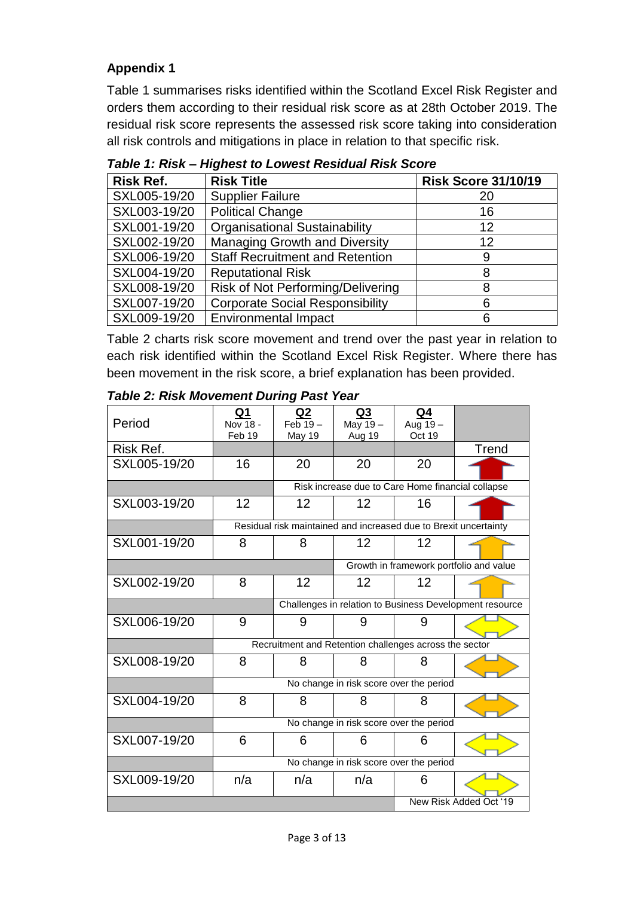# **Appendix 1**

Table 1 summarises risks identified within the Scotland Excel Risk Register and orders them according to their residual risk score as at 28th October 2019. The residual risk score represents the assessed risk score taking into consideration all risk controls and mitigations in place in relation to that specific risk.

| <b>Risk Ref.</b> | <b>Risk Title</b>                      | <b>Risk Score 31/10/19</b> |
|------------------|----------------------------------------|----------------------------|
| SXL005-19/20     | <b>Supplier Failure</b>                | 20                         |
| SXL003-19/20     | <b>Political Change</b>                | 16                         |
| SXL001-19/20     | <b>Organisational Sustainability</b>   | 12                         |
| SXL002-19/20     | <b>Managing Growth and Diversity</b>   | 12                         |
| SXL006-19/20     | <b>Staff Recruitment and Retention</b> | 9                          |
| SXL004-19/20     | <b>Reputational Risk</b>               |                            |
| SXL008-19/20     | Risk of Not Performing/Delivering      |                            |
| SXL007-19/20     | <b>Corporate Social Responsibility</b> | 6                          |
| SXL009-19/20     | <b>Environmental Impact</b>            |                            |

*Table 1: Risk – Highest to Lowest Residual Risk Score*

Table 2 charts risk score movement and trend over the past year in relation to each risk identified within the Scotland Excel Risk Register. Where there has been movement in the risk score, a brief explanation has been provided.

*Table 2: Risk Movement During Past Year*

| Period       | Q1<br>Nov 18 -<br>Feb 19 | Q2<br>$Feb 19 -$<br>May 19                              | Q3<br>May 19-<br>Aug 19                                          | Q4<br>Aug 19-<br>Oct 19 |                                         |  |  |  |  |
|--------------|--------------------------|---------------------------------------------------------|------------------------------------------------------------------|-------------------------|-----------------------------------------|--|--|--|--|
| Risk Ref.    |                          |                                                         |                                                                  |                         | <b>Trend</b>                            |  |  |  |  |
| SXL005-19/20 | 16                       | 20                                                      | 20                                                               | 20                      |                                         |  |  |  |  |
|              |                          |                                                         | Risk increase due to Care Home financial collapse                |                         |                                         |  |  |  |  |
| SXL003-19/20 | 12                       | 12                                                      | 12                                                               | 16                      |                                         |  |  |  |  |
|              |                          |                                                         | Residual risk maintained and increased due to Brexit uncertainty |                         |                                         |  |  |  |  |
| SXL001-19/20 | 8                        | 8                                                       | 12                                                               | 12                      |                                         |  |  |  |  |
|              |                          |                                                         |                                                                  |                         | Growth in framework portfolio and value |  |  |  |  |
| SXL002-19/20 | 8                        | 12                                                      | 12                                                               | 12                      |                                         |  |  |  |  |
|              |                          | Challenges in relation to Business Development resource |                                                                  |                         |                                         |  |  |  |  |
| SXL006-19/20 | 9                        | 9                                                       | 9                                                                | 9                       |                                         |  |  |  |  |
|              |                          |                                                         | Recruitment and Retention challenges across the sector           |                         |                                         |  |  |  |  |
| SXL008-19/20 | 8                        | 8                                                       | 8                                                                | 8                       |                                         |  |  |  |  |
|              |                          |                                                         | No change in risk score over the period                          |                         |                                         |  |  |  |  |
| SXL004-19/20 | 8                        | 8                                                       | 8                                                                | 8                       |                                         |  |  |  |  |
|              |                          |                                                         | No change in risk score over the period                          |                         |                                         |  |  |  |  |
| SXL007-19/20 | 6                        | 6                                                       | 6                                                                | 6                       |                                         |  |  |  |  |
|              |                          |                                                         | No change in risk score over the period                          |                         |                                         |  |  |  |  |
| SXL009-19/20 | n/a                      | n/a                                                     | n/a                                                              | 6                       |                                         |  |  |  |  |
|              |                          |                                                         |                                                                  |                         | New Risk Added Oct '19                  |  |  |  |  |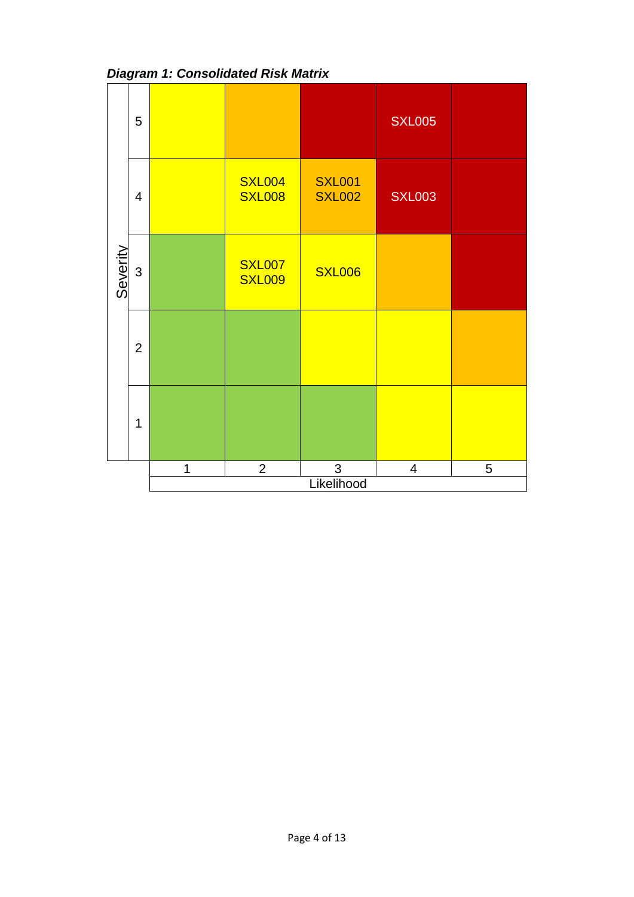|          | 5              |   |                                |                                | <b>SXL005</b>            |   |
|----------|----------------|---|--------------------------------|--------------------------------|--------------------------|---|
|          | $\overline{4}$ |   | <b>SXL004</b><br><b>SXL008</b> | <b>SXL001</b><br><b>SXL002</b> | <b>SXL003</b>            |   |
| Severity | $\mathfrak{S}$ |   | <b>SXL007</b><br><b>SXL009</b> | <b>SXL006</b>                  |                          |   |
|          | $\overline{2}$ |   |                                |                                |                          |   |
|          | $\mathbf 1$    |   |                                |                                |                          |   |
|          |                | 1 | $\overline{2}$                 | 3                              | $\overline{\mathcal{A}}$ | 5 |
|          |                |   |                                | Likelihood                     |                          |   |

*Diagram 1: Consolidated Risk Matrix*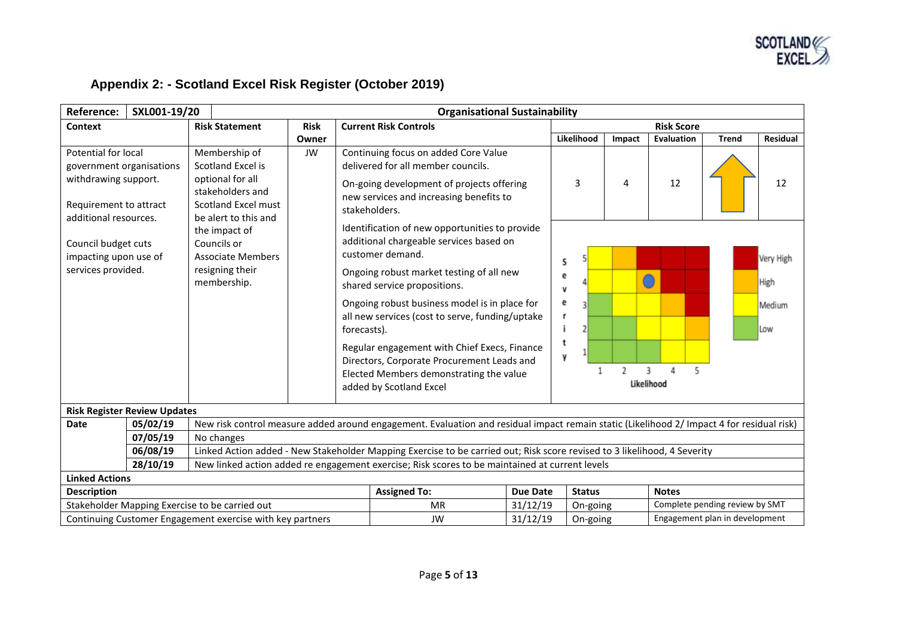

# **Appendix 2: - Scotland Excel Risk Register (October 2019)**

| <b>Reference:</b>                                                                                                          | SXL001-19/20                        |                                                                                                                                  | <b>Organisational Sustainability</b> |               |                                                                                                                                                                                                                                                                                          |                 |                                            |                                            |                |                   |              |                   |
|----------------------------------------------------------------------------------------------------------------------------|-------------------------------------|----------------------------------------------------------------------------------------------------------------------------------|--------------------------------------|---------------|------------------------------------------------------------------------------------------------------------------------------------------------------------------------------------------------------------------------------------------------------------------------------------------|-----------------|--------------------------------------------|--------------------------------------------|----------------|-------------------|--------------|-------------------|
| Context                                                                                                                    |                                     | <b>Risk Statement</b>                                                                                                            | <b>Risk</b>                          |               | <b>Current Risk Controls</b>                                                                                                                                                                                                                                                             |                 |                                            |                                            |                | <b>Risk Score</b> |              |                   |
|                                                                                                                            |                                     |                                                                                                                                  | Owner                                |               |                                                                                                                                                                                                                                                                                          |                 |                                            | Likelihood                                 | Impact         | Evaluation        | <b>Trend</b> | <b>Residual</b>   |
| Potential for local<br>government organisations<br>withdrawing support.<br>Requirement to attract<br>additional resources. |                                     | Membership of<br>Scotland Excel is<br>optional for all<br>stakeholders and<br><b>Scotland Excel must</b><br>be alert to this and | JW                                   | stakeholders. | Continuing focus on added Core Value<br>delivered for all member councils.<br>On-going development of projects offering<br>new services and increasing benefits to                                                                                                                       |                 |                                            | 3                                          | 4              | 12                |              | 12                |
| Council budget cuts<br>impacting upon use of<br>services provided.                                                         |                                     | the impact of<br>Councils or<br><b>Associate Members</b><br>resigning their<br>membership.                                       |                                      |               | Identification of new opportunities to provide<br>additional chargeable services based on<br>customer demand.<br>Ongoing robust market testing of all new                                                                                                                                |                 | s<br>е                                     |                                            |                |                   |              | Very High<br>High |
|                                                                                                                            |                                     |                                                                                                                                  |                                      |               | shared service propositions.<br>Ongoing robust business model is in place for<br>all new services (cost to serve, funding/uptake<br>forecasts).<br>Regular engagement with Chief Execs, Finance<br>Directors, Corporate Procurement Leads and<br>Elected Members demonstrating the value |                 | v<br>е<br>г<br>y                           |                                            | $\overline{2}$ | 3<br>5            |              | Medium<br>Low     |
|                                                                                                                            |                                     |                                                                                                                                  |                                      |               | added by Scotland Excel                                                                                                                                                                                                                                                                  |                 |                                            |                                            |                | Likelihood        |              |                   |
|                                                                                                                            | <b>Risk Register Review Updates</b> |                                                                                                                                  |                                      |               |                                                                                                                                                                                                                                                                                          |                 |                                            |                                            |                |                   |              |                   |
| <b>Date</b>                                                                                                                | 05/02/19                            |                                                                                                                                  |                                      |               | New risk control measure added around engagement. Evaluation and residual impact remain static (Likelihood 2/ Impact 4 for residual risk)                                                                                                                                                |                 |                                            |                                            |                |                   |              |                   |
|                                                                                                                            | 07/05/19                            | No changes                                                                                                                       |                                      |               |                                                                                                                                                                                                                                                                                          |                 |                                            |                                            |                |                   |              |                   |
|                                                                                                                            | 06/08/19                            |                                                                                                                                  |                                      |               | Linked Action added - New Stakeholder Mapping Exercise to be carried out; Risk score revised to 3 likelihood, 4 Severity                                                                                                                                                                 |                 |                                            |                                            |                |                   |              |                   |
| 28/10/19<br>New linked action added re engagement exercise; Risk scores to be maintained at current levels                 |                                     |                                                                                                                                  |                                      |               |                                                                                                                                                                                                                                                                                          |                 |                                            |                                            |                |                   |              |                   |
| <b>Linked Actions</b>                                                                                                      |                                     |                                                                                                                                  |                                      |               |                                                                                                                                                                                                                                                                                          |                 |                                            |                                            |                |                   |              |                   |
| <b>Description</b>                                                                                                         |                                     |                                                                                                                                  |                                      |               | <b>Assigned To:</b>                                                                                                                                                                                                                                                                      | <b>Due Date</b> |                                            | <b>Status</b>                              |                | <b>Notes</b>      |              |                   |
| Stakeholder Mapping Exercise to be carried out                                                                             |                                     |                                                                                                                                  |                                      |               | <b>MR</b>                                                                                                                                                                                                                                                                                | 31/12/19        | Complete pending review by SMT<br>On-going |                                            |                |                   |              |                   |
| Continuing Customer Engagement exercise with key partners                                                                  |                                     |                                                                                                                                  |                                      |               | <b>JW</b>                                                                                                                                                                                                                                                                                | 31/12/19        |                                            | Engagement plan in development<br>On-going |                |                   |              |                   |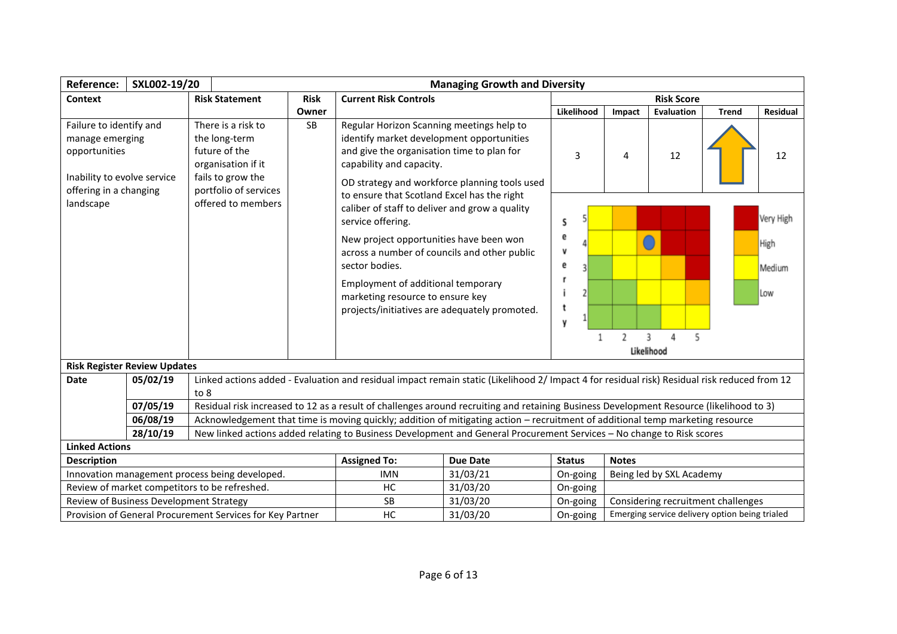| Reference:                                                                                                           | SXL002-19/20                            |                                                                                                                          | <b>Managing Growth and Diversity</b> |                                                                                                                                                                                                                                                                                                                                                            |                 |                                                |                                                |                           |              |                                    |
|----------------------------------------------------------------------------------------------------------------------|-----------------------------------------|--------------------------------------------------------------------------------------------------------------------------|--------------------------------------|------------------------------------------------------------------------------------------------------------------------------------------------------------------------------------------------------------------------------------------------------------------------------------------------------------------------------------------------------------|-----------------|------------------------------------------------|------------------------------------------------|---------------------------|--------------|------------------------------------|
| Context                                                                                                              |                                         | <b>Risk Statement</b>                                                                                                    | <b>Risk</b>                          | <b>Current Risk Controls</b>                                                                                                                                                                                                                                                                                                                               |                 |                                                |                                                | <b>Risk Score</b>         |              |                                    |
|                                                                                                                      |                                         |                                                                                                                          | Owner                                |                                                                                                                                                                                                                                                                                                                                                            |                 | Likelihood                                     | Impact                                         | Evaluation                | <b>Trend</b> | Residual                           |
| Failure to identify and<br>manage emerging<br>opportunities<br>Inability to evolve service<br>offering in a changing |                                         | There is a risk to<br>the long-term<br>future of the<br>organisation if it<br>fails to grow the<br>portfolio of services | SB                                   | Regular Horizon Scanning meetings help to<br>identify market development opportunities<br>and give the organisation time to plan for<br>capability and capacity.<br>OD strategy and workforce planning tools used                                                                                                                                          |                 | 3                                              | 4                                              | 12                        |              | 12                                 |
| landscape                                                                                                            |                                         | offered to members                                                                                                       |                                      | to ensure that Scotland Excel has the right<br>caliber of staff to deliver and grow a quality<br>service offering.<br>New project opportunities have been won<br>across a number of councils and other public<br>sector bodies.<br>Employment of additional temporary<br>marketing resource to ensure key<br>projects/initiatives are adequately promoted. |                 | S<br>е<br>v<br>е<br>t<br>y                     | 2                                              | 5<br>3<br>Δ<br>Likelihood |              | Very High<br>High<br>Medium<br>Low |
|                                                                                                                      | <b>Risk Register Review Updates</b>     |                                                                                                                          |                                      |                                                                                                                                                                                                                                                                                                                                                            |                 |                                                |                                                |                           |              |                                    |
| <b>Date</b>                                                                                                          | 05/02/19                                | to 8                                                                                                                     |                                      | Linked actions added - Evaluation and residual impact remain static (Likelihood 2/ Impact 4 for residual risk) Residual risk reduced from 12                                                                                                                                                                                                               |                 |                                                |                                                |                           |              |                                    |
|                                                                                                                      | 07/05/19                                |                                                                                                                          |                                      | Residual risk increased to 12 as a result of challenges around recruiting and retaining Business Development Resource (likelihood to 3)                                                                                                                                                                                                                    |                 |                                                |                                                |                           |              |                                    |
|                                                                                                                      | 06/08/19                                |                                                                                                                          |                                      | Acknowledgement that time is moving quickly; addition of mitigating action - recruitment of additional temp marketing resource                                                                                                                                                                                                                             |                 |                                                |                                                |                           |              |                                    |
|                                                                                                                      | 28/10/19                                |                                                                                                                          |                                      | New linked actions added relating to Business Development and General Procurement Services - No change to Risk scores                                                                                                                                                                                                                                      |                 |                                                |                                                |                           |              |                                    |
| <b>Linked Actions</b>                                                                                                |                                         |                                                                                                                          |                                      |                                                                                                                                                                                                                                                                                                                                                            |                 |                                                |                                                |                           |              |                                    |
| <b>Description</b>                                                                                                   |                                         |                                                                                                                          |                                      | <b>Assigned To:</b>                                                                                                                                                                                                                                                                                                                                        | <b>Due Date</b> | <b>Status</b><br><b>Notes</b>                  |                                                |                           |              |                                    |
| Innovation management process being developed.                                                                       |                                         |                                                                                                                          |                                      | <b>IMN</b>                                                                                                                                                                                                                                                                                                                                                 | 31/03/21        | On-going                                       |                                                | Being led by SXL Academy  |              |                                    |
| Review of market competitors to be refreshed.                                                                        |                                         |                                                                                                                          |                                      | HC                                                                                                                                                                                                                                                                                                                                                         | 31/03/20        | On-going                                       |                                                |                           |              |                                    |
|                                                                                                                      | Review of Business Development Strategy |                                                                                                                          |                                      | <b>SB</b>                                                                                                                                                                                                                                                                                                                                                  | 31/03/20        | Considering recruitment challenges<br>On-going |                                                |                           |              |                                    |
|                                                                                                                      |                                         | Provision of General Procurement Services for Key Partner                                                                |                                      | HC                                                                                                                                                                                                                                                                                                                                                         | 31/03/20        | On-going                                       | Emerging service delivery option being trialed |                           |              |                                    |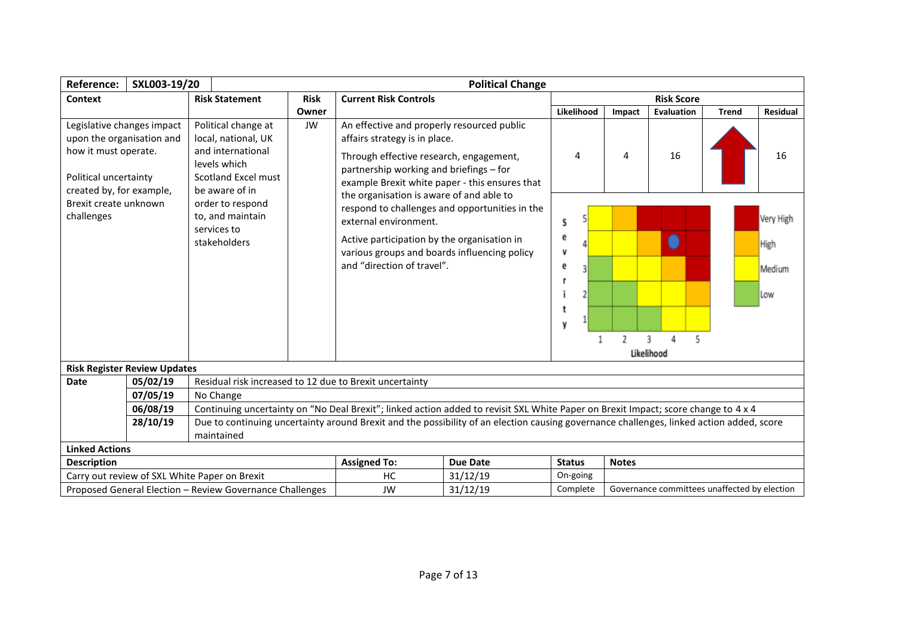| <b>Reference:</b>                                                                                                                                                                                                                                                                                        | SXL003-19/20                                             |                                                                                                                          |             |                                                                                                                                                                                                                                                  | <b>Political Change</b> |                            |               |                                              |              |                                    |  |
|----------------------------------------------------------------------------------------------------------------------------------------------------------------------------------------------------------------------------------------------------------------------------------------------------------|----------------------------------------------------------|--------------------------------------------------------------------------------------------------------------------------|-------------|--------------------------------------------------------------------------------------------------------------------------------------------------------------------------------------------------------------------------------------------------|-------------------------|----------------------------|---------------|----------------------------------------------|--------------|------------------------------------|--|
| Context                                                                                                                                                                                                                                                                                                  |                                                          | <b>Risk Statement</b>                                                                                                    | <b>Risk</b> | <b>Current Risk Controls</b>                                                                                                                                                                                                                     |                         |                            |               | <b>Risk Score</b>                            |              |                                    |  |
|                                                                                                                                                                                                                                                                                                          |                                                          |                                                                                                                          | Owner       |                                                                                                                                                                                                                                                  |                         | Likelihood                 | Impact        | Evaluation                                   | <b>Trend</b> | <b>Residual</b>                    |  |
| Legislative changes impact<br>upon the organisation and<br>how it must operate.<br>Political uncertainty                                                                                                                                                                                                 |                                                          | Political change at<br>local, national, UK<br>and international<br>levels which<br>Scotland Excel must<br>be aware of in | JW          | An effective and properly resourced public<br>affairs strategy is in place.<br>Through effective research, engagement,<br>partnership working and briefings - for<br>example Brexit white paper - this ensures that                              |                         | 4                          | 4             | 16                                           |              | 16                                 |  |
| created by, for example,<br>Brexit create unknown<br>challenges<br>to, and maintain<br>services to<br>stakeholders                                                                                                                                                                                       |                                                          | order to respond                                                                                                         |             | the organisation is aware of and able to<br>respond to challenges and opportunities in the<br>external environment.<br>Active participation by the organisation in<br>various groups and boards influencing policy<br>and "direction of travel". |                         | S<br>е<br>V<br>е<br>I<br>٧ | $\mathfrak z$ | 3<br>4                                       |              | Very High<br>High<br>Medium<br>Low |  |
|                                                                                                                                                                                                                                                                                                          |                                                          |                                                                                                                          |             |                                                                                                                                                                                                                                                  |                         |                            |               | Likelihood                                   |              |                                    |  |
|                                                                                                                                                                                                                                                                                                          | <b>Risk Register Review Updates</b>                      |                                                                                                                          |             |                                                                                                                                                                                                                                                  |                         |                            |               |                                              |              |                                    |  |
| <b>Date</b>                                                                                                                                                                                                                                                                                              | 05/02/19<br>07/05/19                                     | Residual risk increased to 12 due to Brexit uncertainty<br>No Change                                                     |             |                                                                                                                                                                                                                                                  |                         |                            |               |                                              |              |                                    |  |
|                                                                                                                                                                                                                                                                                                          | 06/08/19                                                 |                                                                                                                          |             |                                                                                                                                                                                                                                                  |                         |                            |               |                                              |              |                                    |  |
| Continuing uncertainty on "No Deal Brexit"; linked action added to revisit SXL White Paper on Brexit Impact; score change to 4 x 4<br>Due to continuing uncertainty around Brexit and the possibility of an election causing governance challenges, linked action added, score<br>28/10/19<br>maintained |                                                          |                                                                                                                          |             |                                                                                                                                                                                                                                                  |                         |                            |               |                                              |              |                                    |  |
| <b>Linked Actions</b>                                                                                                                                                                                                                                                                                    |                                                          |                                                                                                                          |             |                                                                                                                                                                                                                                                  |                         |                            |               |                                              |              |                                    |  |
| <b>Description</b>                                                                                                                                                                                                                                                                                       |                                                          |                                                                                                                          |             | <b>Assigned To:</b>                                                                                                                                                                                                                              | <b>Due Date</b>         | <b>Status</b>              | <b>Notes</b>  |                                              |              |                                    |  |
| Carry out review of SXL White Paper on Brexit                                                                                                                                                                                                                                                            |                                                          |                                                                                                                          | НC          | 31/12/19                                                                                                                                                                                                                                         | On-going                |                            |               |                                              |              |                                    |  |
|                                                                                                                                                                                                                                                                                                          | Proposed General Election - Review Governance Challenges |                                                                                                                          |             | <b>JW</b>                                                                                                                                                                                                                                        | 31/12/19                | Complete                   |               | Governance committees unaffected by election |              |                                    |  |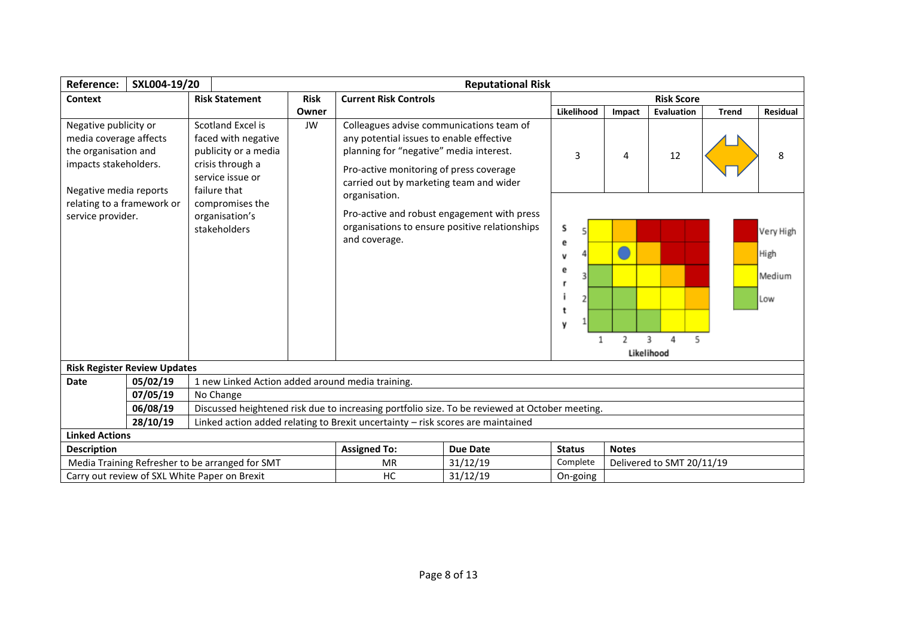| Reference:                                                                                                                 | SXL004-19/20                                                                                         |                                                                                                                          |             |                                                                                                                                                                                                                       | <b>Reputational Risk</b>                                                                       |                                 |              |                           |              |                                    |
|----------------------------------------------------------------------------------------------------------------------------|------------------------------------------------------------------------------------------------------|--------------------------------------------------------------------------------------------------------------------------|-------------|-----------------------------------------------------------------------------------------------------------------------------------------------------------------------------------------------------------------------|------------------------------------------------------------------------------------------------|---------------------------------|--------------|---------------------------|--------------|------------------------------------|
| Context                                                                                                                    |                                                                                                      | <b>Risk Statement</b>                                                                                                    | <b>Risk</b> | <b>Current Risk Controls</b>                                                                                                                                                                                          |                                                                                                |                                 |              | <b>Risk Score</b>         |              |                                    |
|                                                                                                                            |                                                                                                      |                                                                                                                          | Owner       |                                                                                                                                                                                                                       |                                                                                                | Likelihood                      | Impact       | Evaluation                | <b>Trend</b> | <b>Residual</b>                    |
| Negative publicity or<br>media coverage affects<br>the organisation and<br>impacts stakeholders.<br>Negative media reports |                                                                                                      | Scotland Excel is<br>faced with negative<br>publicity or a media<br>crisis through a<br>service issue or<br>failure that | <b>JW</b>   | Colleagues advise communications team of<br>any potential issues to enable effective<br>planning for "negative" media interest.<br>Pro-active monitoring of press coverage<br>carried out by marketing team and wider |                                                                                                | 3                               | 4            | 12                        |              | 8                                  |
|                                                                                                                            | relating to a framework or<br>compromises the<br>service provider.<br>organisation's<br>stakeholders |                                                                                                                          |             | organisation.<br>and coverage.                                                                                                                                                                                        | Pro-active and robust engagement with press<br>organisations to ensure positive relationships  | s<br>e<br>v<br>e<br>t<br>y<br>1 | 2            | 5<br>3<br>4<br>Likelihood |              | Very High<br>High<br>Medium<br>Low |
|                                                                                                                            | <b>Risk Register Review Updates</b>                                                                  |                                                                                                                          |             |                                                                                                                                                                                                                       |                                                                                                |                                 |              |                           |              |                                    |
| Date                                                                                                                       | 05/02/19                                                                                             | 1 new Linked Action added around media training.                                                                         |             |                                                                                                                                                                                                                       |                                                                                                |                                 |              |                           |              |                                    |
|                                                                                                                            | 07/05/19                                                                                             | No Change                                                                                                                |             |                                                                                                                                                                                                                       |                                                                                                |                                 |              |                           |              |                                    |
|                                                                                                                            | 06/08/19                                                                                             |                                                                                                                          |             |                                                                                                                                                                                                                       | Discussed heightened risk due to increasing portfolio size. To be reviewed at October meeting. |                                 |              |                           |              |                                    |
|                                                                                                                            | 28/10/19                                                                                             | Linked action added relating to Brexit uncertainty - risk scores are maintained                                          |             |                                                                                                                                                                                                                       |                                                                                                |                                 |              |                           |              |                                    |
| <b>Linked Actions</b>                                                                                                      |                                                                                                      |                                                                                                                          |             |                                                                                                                                                                                                                       |                                                                                                |                                 |              |                           |              |                                    |
| <b>Description</b>                                                                                                         |                                                                                                      |                                                                                                                          |             | <b>Assigned To:</b>                                                                                                                                                                                                   | <b>Due Date</b>                                                                                | <b>Status</b>                   | <b>Notes</b> |                           |              |                                    |
| Media Training Refresher to be arranged for SMT<br><b>MR</b>                                                               |                                                                                                      |                                                                                                                          |             |                                                                                                                                                                                                                       | 31/12/19                                                                                       | Complete                        |              | Delivered to SMT 20/11/19 |              |                                    |
| 31/12/19<br>Carry out review of SXL White Paper on Brexit<br>HC<br>On-going                                                |                                                                                                      |                                                                                                                          |             |                                                                                                                                                                                                                       |                                                                                                |                                 |              |                           |              |                                    |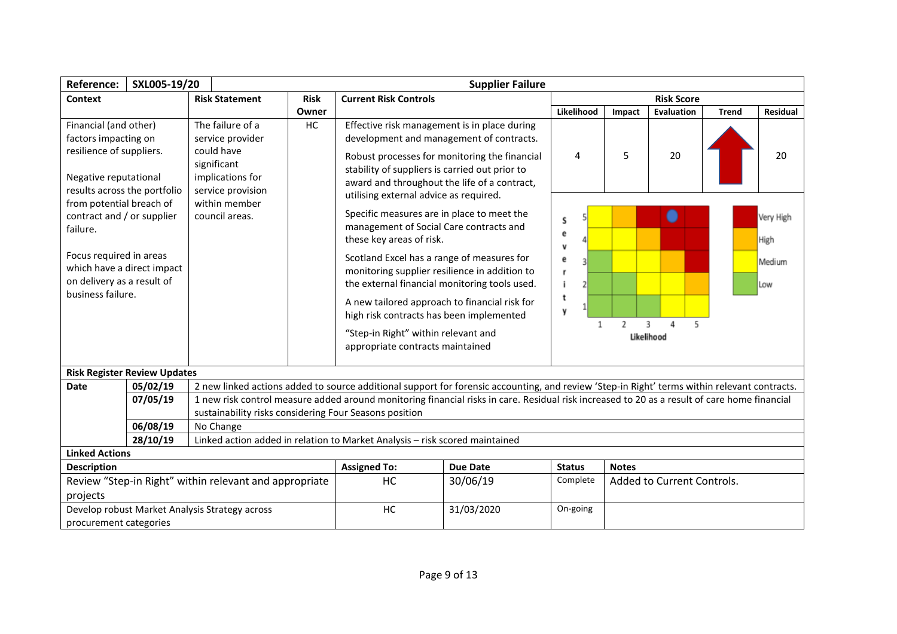| Reference:                                                                                                    | SXL005-19/20                                                             |                                                                                     |                                                                                                                   | <b>Supplier Failure</b>                                                                                                                                                                   |                  |                               |                             |                   |               |          |  |  |
|---------------------------------------------------------------------------------------------------------------|--------------------------------------------------------------------------|-------------------------------------------------------------------------------------|-------------------------------------------------------------------------------------------------------------------|-------------------------------------------------------------------------------------------------------------------------------------------------------------------------------------------|------------------|-------------------------------|-----------------------------|-------------------|---------------|----------|--|--|
| Context                                                                                                       |                                                                          | <b>Risk Statement</b>                                                               | <b>Risk</b>                                                                                                       | <b>Current Risk Controls</b>                                                                                                                                                              |                  |                               |                             | <b>Risk Score</b> |               |          |  |  |
|                                                                                                               |                                                                          |                                                                                     | Owner                                                                                                             |                                                                                                                                                                                           |                  | Likelihood                    | Impact                      | Evaluation        | <b>Trend</b>  | Residual |  |  |
| Financial (and other)<br>factors impacting on                                                                 |                                                                          | The failure of a<br>service provider                                                | HC                                                                                                                | Effective risk management is in place during<br>development and management of contracts.                                                                                                  |                  |                               |                             |                   |               |          |  |  |
| resilience of suppliers.<br>Negative reputational<br>results across the portfolio<br>from potential breach of |                                                                          | could have<br>significant<br>implications for<br>service provision<br>within member |                                                                                                                   | Robust processes for monitoring the financial<br>stability of suppliers is carried out prior to<br>award and throughout the life of a contract,<br>utilising external advice as required. |                  | 4                             | 5                           | 20                |               | 20       |  |  |
| contract and / or supplier<br>council areas.<br>failure.                                                      |                                                                          |                                                                                     | Specific measures are in place to meet the<br>management of Social Care contracts and<br>these key areas of risk. | s<br>e<br>v                                                                                                                                                                               |                  |                               |                             | Very High<br>High |               |          |  |  |
| Focus required in areas<br>which have a direct impact<br>on delivery as a result of<br>business failure.      |                                                                          |                                                                                     |                                                                                                                   | Scotland Excel has a range of measures for<br>monitoring supplier resilience in addition to<br>the external financial monitoring tools used.                                              | e<br>r<br>2<br>t |                               |                             |                   | Medium<br>Low |          |  |  |
|                                                                                                               |                                                                          |                                                                                     |                                                                                                                   | A new tailored approach to financial risk for<br>high risk contracts has been implemented<br>"Step-in Right" within relevant and<br>appropriate contracts maintained                      | y                | $\overline{\phantom{a}}$<br>з | 5<br>$\Delta$<br>Likelihood |                   |               |          |  |  |
| <b>Risk Register Review Updates</b>                                                                           |                                                                          |                                                                                     |                                                                                                                   |                                                                                                                                                                                           |                  |                               |                             |                   |               |          |  |  |
| <b>Date</b>                                                                                                   | 05/02/19                                                                 |                                                                                     |                                                                                                                   | 2 new linked actions added to source additional support for forensic accounting, and review 'Step-in Right' terms within relevant contracts.                                              |                  |                               |                             |                   |               |          |  |  |
|                                                                                                               | 07/05/19                                                                 | sustainability risks considering Four Seasons position                              |                                                                                                                   | 1 new risk control measure added around monitoring financial risks in care. Residual risk increased to 20 as a result of care home financial                                              |                  |                               |                             |                   |               |          |  |  |
|                                                                                                               | 06/08/19                                                                 | No Change                                                                           |                                                                                                                   |                                                                                                                                                                                           |                  |                               |                             |                   |               |          |  |  |
|                                                                                                               | 28/10/19                                                                 |                                                                                     |                                                                                                                   | Linked action added in relation to Market Analysis - risk scored maintained                                                                                                               |                  |                               |                             |                   |               |          |  |  |
| <b>Linked Actions</b>                                                                                         |                                                                          |                                                                                     |                                                                                                                   |                                                                                                                                                                                           |                  |                               |                             |                   |               |          |  |  |
| <b>Description</b>                                                                                            |                                                                          |                                                                                     |                                                                                                                   | <b>Assigned To:</b>                                                                                                                                                                       | <b>Due Date</b>  | <b>Status</b>                 | <b>Notes</b>                |                   |               |          |  |  |
| Review "Step-in Right" within relevant and appropriate<br>projects                                            |                                                                          | HC                                                                                  | 30/06/19                                                                                                          | Complete                                                                                                                                                                                  |                  | Added to Current Controls.    |                             |                   |               |          |  |  |
|                                                                                                               | Develop robust Market Analysis Strategy across<br>procurement categories |                                                                                     |                                                                                                                   | HC                                                                                                                                                                                        | 31/03/2020       | On-going                      |                             |                   |               |          |  |  |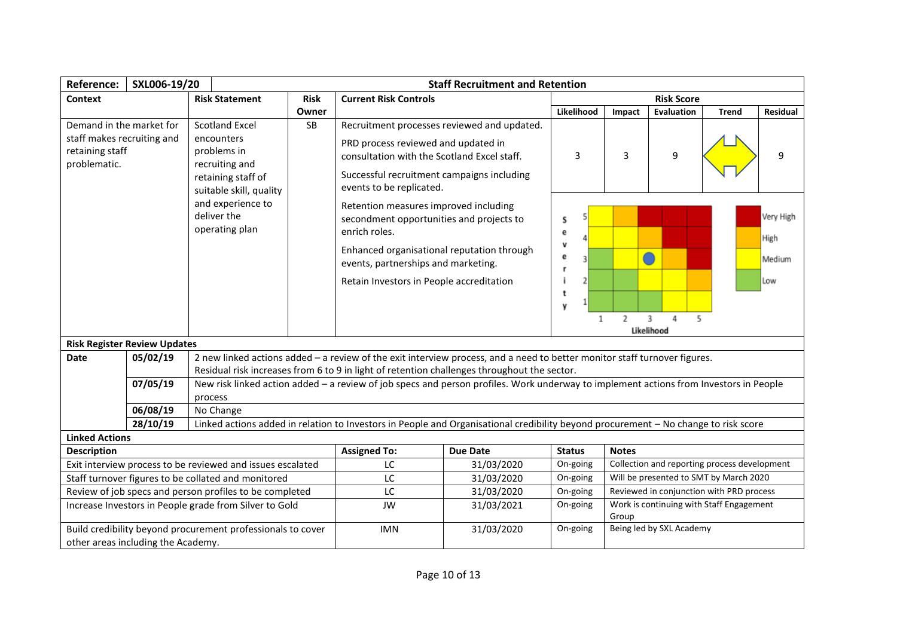| <b>Reference:</b>                                                                         | SXL006-19/20                                    |                                                                                                                                                                             |             | <b>Staff Recruitment and Retention</b>                                                                                                                                                                                                                                                                                                                                                              |                                                                                                                                       |                                                |                                                   |                          |                                              |                                         |  |  |
|-------------------------------------------------------------------------------------------|-------------------------------------------------|-----------------------------------------------------------------------------------------------------------------------------------------------------------------------------|-------------|-----------------------------------------------------------------------------------------------------------------------------------------------------------------------------------------------------------------------------------------------------------------------------------------------------------------------------------------------------------------------------------------------------|---------------------------------------------------------------------------------------------------------------------------------------|------------------------------------------------|---------------------------------------------------|--------------------------|----------------------------------------------|-----------------------------------------|--|--|
| Context                                                                                   |                                                 | <b>Risk Statement</b>                                                                                                                                                       | <b>Risk</b> | <b>Current Risk Controls</b>                                                                                                                                                                                                                                                                                                                                                                        |                                                                                                                                       |                                                |                                                   | <b>Risk Score</b>        |                                              |                                         |  |  |
|                                                                                           |                                                 |                                                                                                                                                                             | Owner       |                                                                                                                                                                                                                                                                                                                                                                                                     |                                                                                                                                       | Likelihood                                     | Impact                                            | Evaluation               | <b>Trend</b>                                 | Residual                                |  |  |
| Demand in the market for<br>staff makes recruiting and<br>retaining staff<br>problematic. |                                                 | <b>Scotland Excel</b><br>encounters<br>problems in<br>recruiting and<br>retaining staff of<br>suitable skill, quality<br>and experience to<br>deliver the<br>operating plan | SB          | PRD process reviewed and updated in<br>consultation with the Scotland Excel staff.<br>Successful recruitment campaigns including<br>events to be replicated.<br>Retention measures improved including<br>secondment opportunities and projects to<br>enrich roles.<br>Enhanced organisational reputation through<br>events, partnerships and marketing.<br>Retain Investors in People accreditation | Recruitment processes reviewed and updated.                                                                                           | 3<br>S<br>е<br>v<br>ē<br>з<br>2<br>t<br>y<br>1 | 3<br>$\overline{2}$                               | 9<br>3<br>4<br>5         |                                              | 9<br>Very High<br>High<br>Medium<br>Low |  |  |
|                                                                                           |                                                 |                                                                                                                                                                             |             |                                                                                                                                                                                                                                                                                                                                                                                                     |                                                                                                                                       |                                                |                                                   | Likelihood               |                                              |                                         |  |  |
| <b>Date</b>                                                                               | <b>Risk Register Review Updates</b><br>05/02/19 |                                                                                                                                                                             |             |                                                                                                                                                                                                                                                                                                                                                                                                     | 2 new linked actions added - a review of the exit interview process, and a need to better monitor staff turnover figures.             |                                                |                                                   |                          |                                              |                                         |  |  |
|                                                                                           |                                                 |                                                                                                                                                                             |             |                                                                                                                                                                                                                                                                                                                                                                                                     | Residual risk increases from 6 to 9 in light of retention challenges throughout the sector.                                           |                                                |                                                   |                          |                                              |                                         |  |  |
|                                                                                           | 07/05/19                                        |                                                                                                                                                                             |             |                                                                                                                                                                                                                                                                                                                                                                                                     | New risk linked action added - a review of job specs and person profiles. Work underway to implement actions from Investors in People |                                                |                                                   |                          |                                              |                                         |  |  |
|                                                                                           | 06/08/19                                        | process<br>No Change                                                                                                                                                        |             |                                                                                                                                                                                                                                                                                                                                                                                                     |                                                                                                                                       |                                                |                                                   |                          |                                              |                                         |  |  |
|                                                                                           | 28/10/19                                        |                                                                                                                                                                             |             |                                                                                                                                                                                                                                                                                                                                                                                                     | Linked actions added in relation to Investors in People and Organisational credibility beyond procurement - No change to risk score   |                                                |                                                   |                          |                                              |                                         |  |  |
| <b>Linked Actions</b>                                                                     |                                                 |                                                                                                                                                                             |             |                                                                                                                                                                                                                                                                                                                                                                                                     |                                                                                                                                       |                                                |                                                   |                          |                                              |                                         |  |  |
| <b>Description</b>                                                                        |                                                 |                                                                                                                                                                             |             | <b>Assigned To:</b>                                                                                                                                                                                                                                                                                                                                                                                 | <b>Due Date</b>                                                                                                                       | <b>Status</b>                                  | <b>Notes</b>                                      |                          |                                              |                                         |  |  |
|                                                                                           |                                                 | Exit interview process to be reviewed and issues escalated                                                                                                                  |             | LC                                                                                                                                                                                                                                                                                                                                                                                                  | 31/03/2020                                                                                                                            | On-going                                       |                                                   |                          | Collection and reporting process development |                                         |  |  |
|                                                                                           |                                                 | Staff turnover figures to be collated and monitored                                                                                                                         |             | LC                                                                                                                                                                                                                                                                                                                                                                                                  | 31/03/2020                                                                                                                            | On-going                                       |                                                   |                          | Will be presented to SMT by March 2020       |                                         |  |  |
| Review of job specs and person profiles to be completed                                   |                                                 |                                                                                                                                                                             |             | LC                                                                                                                                                                                                                                                                                                                                                                                                  | 31/03/2020                                                                                                                            | On-going                                       |                                                   |                          | Reviewed in conjunction with PRD process     |                                         |  |  |
| Increase Investors in People grade from Silver to Gold                                    |                                                 |                                                                                                                                                                             |             | <b>JW</b>                                                                                                                                                                                                                                                                                                                                                                                           | 31/03/2021                                                                                                                            | On-going                                       | Work is continuing with Staff Engagement<br>Group |                          |                                              |                                         |  |  |
|                                                                                           | other areas including the Academy.              | Build credibility beyond procurement professionals to cover                                                                                                                 |             | <b>IMN</b>                                                                                                                                                                                                                                                                                                                                                                                          | 31/03/2020                                                                                                                            | On-going                                       |                                                   | Being led by SXL Academy |                                              |                                         |  |  |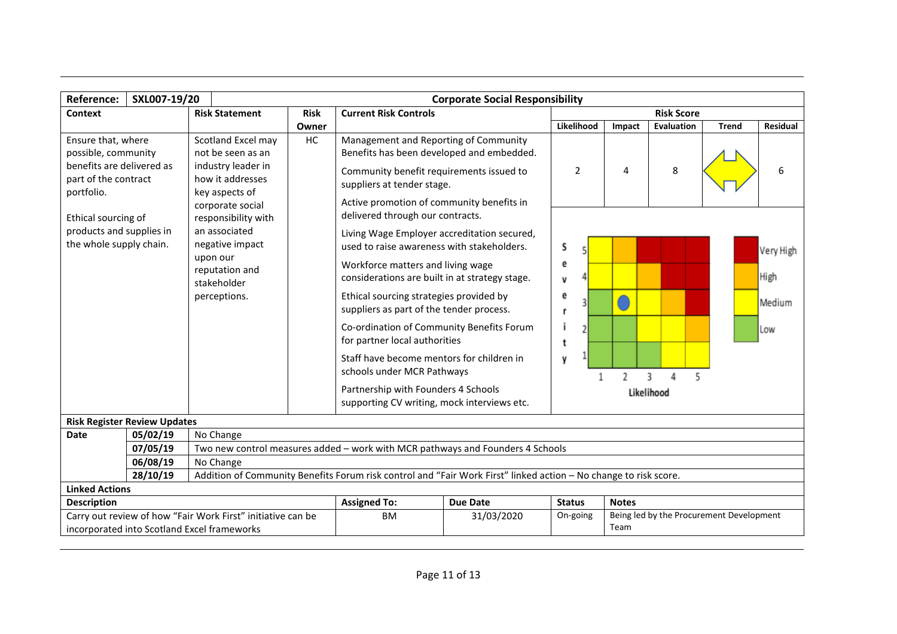| <b>Reference:</b>                                                                                            | SXL007-19/20<br><b>Corporate Social Responsibility</b>                                                                                       |                                                                                                                         |             |                                                                                                                                                                                                  |                                                                                                                  |                                                              |                |              |            |                   |              |           |
|--------------------------------------------------------------------------------------------------------------|----------------------------------------------------------------------------------------------------------------------------------------------|-------------------------------------------------------------------------------------------------------------------------|-------------|--------------------------------------------------------------------------------------------------------------------------------------------------------------------------------------------------|------------------------------------------------------------------------------------------------------------------|--------------------------------------------------------------|----------------|--------------|------------|-------------------|--------------|-----------|
| Context                                                                                                      |                                                                                                                                              | <b>Risk Statement</b>                                                                                                   | <b>Risk</b> | <b>Current Risk Controls</b>                                                                                                                                                                     |                                                                                                                  |                                                              |                |              |            | <b>Risk Score</b> |              |           |
|                                                                                                              |                                                                                                                                              |                                                                                                                         | Owner       |                                                                                                                                                                                                  |                                                                                                                  |                                                              | Likelihood     | Impact       |            | Evaluation        | <b>Trend</b> | Residual  |
| Ensure that, where<br>possible, community<br>benefits are delivered as<br>part of the contract<br>portfolio. |                                                                                                                                              | Scotland Excel may<br>not be seen as an<br>industry leader in<br>how it addresses<br>key aspects of<br>corporate social | HC          | Management and Reporting of Community<br>Community benefit requirements issued to<br>suppliers at tender stage.<br>Active promotion of community benefits in<br>delivered through our contracts. | Benefits has been developed and embedded.                                                                        |                                                              | $\overline{2}$ | 4            |            | 8                 |              | 6         |
| Ethical sourcing of                                                                                          | responsibility with<br>products and supplies in<br>an associated<br>the whole supply chain.<br>negative impact<br>upon our<br>reputation and |                                                                                                                         |             | used to raise awareness with stakeholders.<br>Workforce matters and living wage                                                                                                                  | Living Wage Employer accreditation secured,                                                                      | S<br>е                                                       |                |              |            |                   |              | Very High |
|                                                                                                              |                                                                                                                                              | stakeholder                                                                                                             |             | considerations are built in at strategy stage.                                                                                                                                                   |                                                                                                                  | V                                                            |                |              |            |                   |              | High      |
|                                                                                                              |                                                                                                                                              | perceptions.                                                                                                            |             | Ethical sourcing strategies provided by<br>suppliers as part of the tender process.                                                                                                              |                                                                                                                  | e<br>r                                                       | 3              |              |            |                   |              | Medium    |
|                                                                                                              |                                                                                                                                              |                                                                                                                         |             | Co-ordination of Community Benefits Forum<br>for partner local authorities                                                                                                                       |                                                                                                                  | t                                                            | 2              |              |            |                   |              | Low       |
|                                                                                                              |                                                                                                                                              |                                                                                                                         |             | Staff have become mentors for children in<br>schools under MCR Pathways                                                                                                                          |                                                                                                                  | y                                                            |                | 2            | 3          | 4                 |              |           |
|                                                                                                              |                                                                                                                                              |                                                                                                                         |             | Partnership with Founders 4 Schools<br>supporting CV writing, mock interviews etc.                                                                                                               |                                                                                                                  |                                                              |                |              | Likelihood |                   |              |           |
| <b>Risk Register Review Updates</b>                                                                          |                                                                                                                                              |                                                                                                                         |             |                                                                                                                                                                                                  |                                                                                                                  |                                                              |                |              |            |                   |              |           |
| Date                                                                                                         | 05/02/19                                                                                                                                     | No Change                                                                                                               |             |                                                                                                                                                                                                  |                                                                                                                  |                                                              |                |              |            |                   |              |           |
|                                                                                                              | 07/05/19                                                                                                                                     |                                                                                                                         |             |                                                                                                                                                                                                  | Two new control measures added - work with MCR pathways and Founders 4 Schools                                   |                                                              |                |              |            |                   |              |           |
|                                                                                                              | 06/08/19<br>28/10/19                                                                                                                         | No Change                                                                                                               |             |                                                                                                                                                                                                  | Addition of Community Benefits Forum risk control and "Fair Work First" linked action - No change to risk score. |                                                              |                |              |            |                   |              |           |
| <b>Linked Actions</b>                                                                                        |                                                                                                                                              |                                                                                                                         |             |                                                                                                                                                                                                  |                                                                                                                  |                                                              |                |              |            |                   |              |           |
| <b>Description</b>                                                                                           |                                                                                                                                              |                                                                                                                         |             | <b>Assigned To:</b>                                                                                                                                                                              | <b>Due Date</b>                                                                                                  | <b>Status</b>                                                |                | <b>Notes</b> |            |                   |              |           |
| Carry out review of how "Fair Work First" initiative can be<br>incorporated into Scotland Excel frameworks   |                                                                                                                                              |                                                                                                                         |             | <b>BM</b>                                                                                                                                                                                        | 31/03/2020                                                                                                       | Being led by the Procurement Development<br>On-going<br>Team |                |              |            |                   |              |           |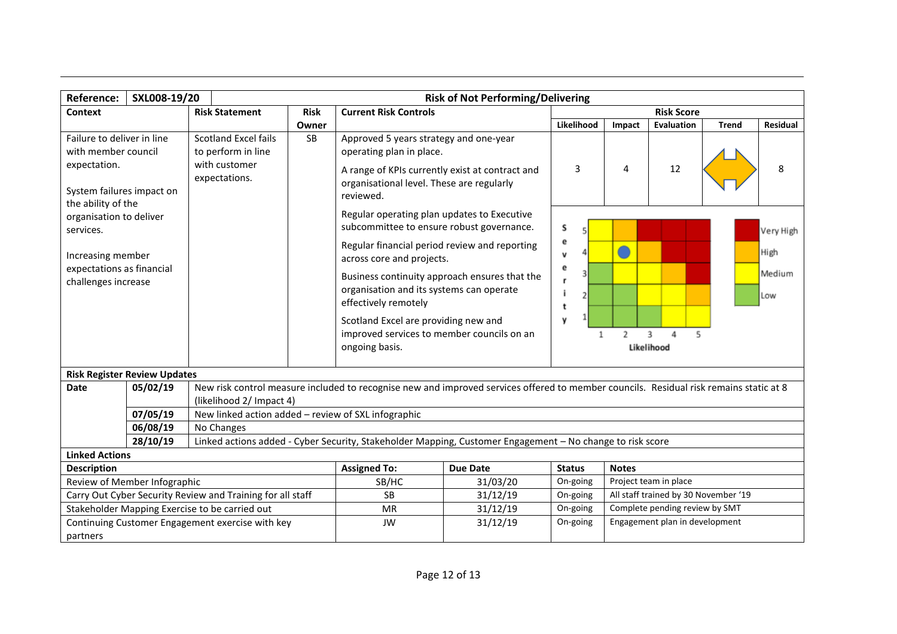| <b>Reference:</b>                                               | SXL008-19/20<br><b>Risk of Not Performing/Delivering</b>                                                                                                              |                                                     |             |                                                                                                                                        |                                                                                                                                                         |                                                  |        |                                |               |                 |  |
|-----------------------------------------------------------------|-----------------------------------------------------------------------------------------------------------------------------------------------------------------------|-----------------------------------------------------|-------------|----------------------------------------------------------------------------------------------------------------------------------------|---------------------------------------------------------------------------------------------------------------------------------------------------------|--------------------------------------------------|--------|--------------------------------|---------------|-----------------|--|
| Context                                                         |                                                                                                                                                                       | <b>Risk Statement</b>                               | <b>Risk</b> | <b>Current Risk Controls</b>                                                                                                           |                                                                                                                                                         |                                                  |        | <b>Risk Score</b>              |               |                 |  |
|                                                                 |                                                                                                                                                                       |                                                     | Owner       |                                                                                                                                        |                                                                                                                                                         | Likelihood                                       | Impact | Evaluation                     | <b>Trend</b>  | <b>Residual</b> |  |
| Failure to deliver in line                                      |                                                                                                                                                                       | <b>Scotland Excel fails</b>                         | <b>SB</b>   | Approved 5 years strategy and one-year                                                                                                 |                                                                                                                                                         |                                                  |        |                                |               |                 |  |
| with member council                                             |                                                                                                                                                                       | to perform in line                                  |             | operating plan in place.                                                                                                               |                                                                                                                                                         |                                                  |        |                                |               |                 |  |
| expectation.<br>System failures impact on<br>the ability of the |                                                                                                                                                                       | with customer<br>expectations.                      |             | A range of KPIs currently exist at contract and<br>organisational level. These are regularly<br>reviewed.                              |                                                                                                                                                         | 3                                                | 4      | 12                             |               | 8               |  |
| organisation to deliver<br>services.                            |                                                                                                                                                                       |                                                     |             | Regular operating plan updates to Executive<br>subcommittee to ensure robust governance.                                               |                                                                                                                                                         | S                                                |        |                                |               | Very High       |  |
| Increasing member                                               |                                                                                                                                                                       |                                                     |             | Regular financial period review and reporting<br>across core and projects.                                                             |                                                                                                                                                         | е<br>v                                           |        |                                |               | High            |  |
|                                                                 | expectations as financial<br>Business continuity approach ensures that the<br>challenges increase<br>organisation and its systems can operate<br>effectively remotely |                                                     |             |                                                                                                                                        | е<br>3<br>r<br>2<br>t                                                                                                                                   |                                                  |        |                                | Medium<br>Low |                 |  |
|                                                                 |                                                                                                                                                                       |                                                     |             | ongoing basis.                                                                                                                         | Scotland Excel are providing new and<br>y<br>improved services to member councils on an<br>$\mathfrak{p}$<br>3<br>$\mathbf{1}$<br>4<br>ς.<br>Likelihood |                                                  |        |                                |               |                 |  |
| <b>Risk Register Review Updates</b>                             |                                                                                                                                                                       |                                                     |             |                                                                                                                                        |                                                                                                                                                         |                                                  |        |                                |               |                 |  |
| <b>Date</b>                                                     | 05/02/19                                                                                                                                                              | (likelihood 2/ Impact 4)                            |             | New risk control measure included to recognise new and improved services offered to member councils. Residual risk remains static at 8 |                                                                                                                                                         |                                                  |        |                                |               |                 |  |
|                                                                 | 07/05/19                                                                                                                                                              | New linked action added - review of SXL infographic |             |                                                                                                                                        |                                                                                                                                                         |                                                  |        |                                |               |                 |  |
|                                                                 | 06/08/19                                                                                                                                                              | No Changes                                          |             |                                                                                                                                        |                                                                                                                                                         |                                                  |        |                                |               |                 |  |
|                                                                 | 28/10/19                                                                                                                                                              |                                                     |             | Linked actions added - Cyber Security, Stakeholder Mapping, Customer Engagement - No change to risk score                              |                                                                                                                                                         |                                                  |        |                                |               |                 |  |
| <b>Linked Actions</b>                                           |                                                                                                                                                                       |                                                     |             |                                                                                                                                        |                                                                                                                                                         |                                                  |        |                                |               |                 |  |
| <b>Description</b>                                              | <b>Assigned To:</b><br><b>Due Date</b><br><b>Status</b><br><b>Notes</b>                                                                                               |                                                     |             |                                                                                                                                        |                                                                                                                                                         |                                                  |        |                                |               |                 |  |
| Review of Member Infographic                                    |                                                                                                                                                                       |                                                     |             | SB/HC                                                                                                                                  | 31/03/20                                                                                                                                                | On-going                                         |        | Project team in place          |               |                 |  |
| Carry Out Cyber Security Review and Training for all staff      |                                                                                                                                                                       |                                                     |             | <b>SB</b>                                                                                                                              | 31/12/19                                                                                                                                                | All staff trained by 30 November '19<br>On-going |        |                                |               |                 |  |
| Stakeholder Mapping Exercise to be carried out                  |                                                                                                                                                                       |                                                     | <b>MR</b>   | 31/12/19                                                                                                                               | On-going                                                                                                                                                | Complete pending review by SMT                   |        |                                |               |                 |  |
| partners                                                        | Continuing Customer Engagement exercise with key                                                                                                                      |                                                     |             | <b>JW</b>                                                                                                                              | 31/12/19                                                                                                                                                | On-going                                         |        | Engagement plan in development |               |                 |  |